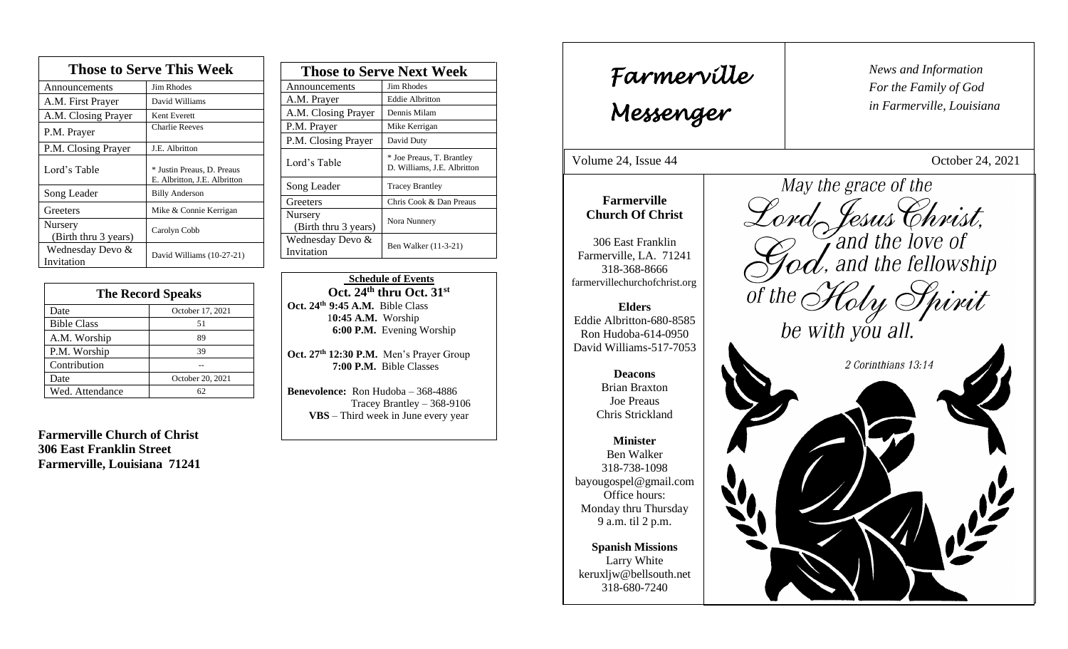| <b>Those to Serve This Week</b>        |                                                            |
|----------------------------------------|------------------------------------------------------------|
| Announcements                          | <b>Jim Rhodes</b>                                          |
| A.M. First Prayer                      | David Williams                                             |
| A.M. Closing Prayer                    | Kent Everett                                               |
| P.M. Prayer                            | <b>Charlie Reeves</b>                                      |
| P.M. Closing Prayer                    | J.E. Albritton                                             |
| Lord's Table                           | * Justin Preaus, D. Preaus<br>E. Albritton, J.E. Albritton |
| Song Leader                            | <b>Billy Anderson</b>                                      |
| Greeters                               | Mike & Connie Kerrigan                                     |
| <b>Nursery</b><br>(Birth thru 3 years) | Carolyn Cobb                                               |
| Wednesday Devo &<br>Invitation         | David Williams (10-27-21)                                  |

| <b>The Record Speaks</b> |                  |
|--------------------------|------------------|
| Date                     | October 17, 2021 |
| <b>Bible Class</b>       | 51               |
| A.M. Worship             | 89               |
| P.M. Worship             | 39               |
| Contribution             |                  |
| Date                     | October 20, 2021 |
| Wed. Attendance          | 62               |

**Farmerville Church of Christ 306 East Franklin Street Farmerville, Louisiana 71241**

| <b>Those to Serve Next Week</b> |                                                          |
|---------------------------------|----------------------------------------------------------|
| Announcements                   | Jim Rhodes                                               |
| A.M. Prayer                     | <b>Eddie Albritton</b>                                   |
| A.M. Closing Prayer             | Dennis Milam                                             |
| P.M. Prayer                     | Mike Kerrigan                                            |
| P.M. Closing Prayer             | David Duty                                               |
| Lord's Table                    | * Joe Preaus, T. Brantley<br>D. Williams, J.E. Albritton |
| Song Leader                     | <b>Tracey Brantley</b>                                   |
| Greeters                        | Chris Cook & Dan Preaus                                  |
| Nursery<br>(Birth thru 3 years) | Nora Nunnery                                             |
| Wednesday Devo &<br>Invitation  | Ben Walker (11-3-21)                                     |

 **Schedule of Events Oct. 24th thru Oct. 31st Oct. 24th 9:45 A.M.** Bible Class 1**0:45 A.M.** Worship  **6:00 P.M.** Evening Worship

**Oct. 27 th 12:30 P.M.** Men's Prayer Group **7:00 P.M.** Bible Classes

**Benevolence:** Ron Hudoba – 368-4886 Tracey Brantley – 368-9106 **VBS** – Third week in June every year

*News and Information* **Farmerville**  $\parallel$  News and *For the Family of God in Farmerville, Louisiana Messenger*  Volume 24, Issue 44 October 24, 2021 May the grace of the , 2015 Lord Jesus Christ, **Farmerville Church Of Christ** 306 East Franklin Farmerville, LA. 71241 318-368-8666 of the Holy Spirit farmervillechurchofchrist.org **Elders** Eddie Albritton-680-8585 be with you all. Ron Hudoba-614-0950 David Williams-517-7053 2 Corinthians 13:14 **Deacons**  Brian Braxton Joe Preaus Chris Strickland **Minister** Ben Walker 318-738-1098 bayougospel@gmail.com Office hours: Monday thru Thursday 9 a.m. til 2 p.m. **Spanish Missions** Larry White keruxljw@bellsouth.net 318-680-7240